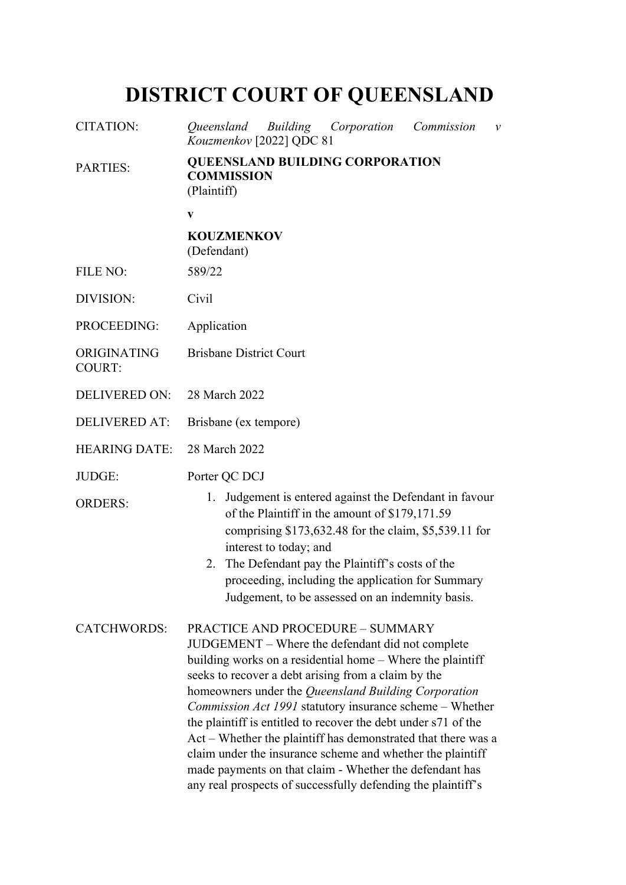# **DISTRICT COURT OF QUEENSLAND**

| <b>CITATION:</b>             | Oueensland<br>Building Corporation<br>Commission<br>$\mathcal V$<br>Kouzmenkov [2022] QDC 81                                                                                                                                                                                                                                                                                                                                                                                                                                                                                                                                                                            |
|------------------------------|-------------------------------------------------------------------------------------------------------------------------------------------------------------------------------------------------------------------------------------------------------------------------------------------------------------------------------------------------------------------------------------------------------------------------------------------------------------------------------------------------------------------------------------------------------------------------------------------------------------------------------------------------------------------------|
| <b>PARTIES:</b>              | <b>QUEENSLAND BUILDING CORPORATION</b><br><b>COMMISSION</b><br>(Plaintiff)                                                                                                                                                                                                                                                                                                                                                                                                                                                                                                                                                                                              |
|                              | V                                                                                                                                                                                                                                                                                                                                                                                                                                                                                                                                                                                                                                                                       |
|                              | <b>KOUZMENKOV</b><br>(Defendant)                                                                                                                                                                                                                                                                                                                                                                                                                                                                                                                                                                                                                                        |
| <b>FILE NO:</b>              | 589/22                                                                                                                                                                                                                                                                                                                                                                                                                                                                                                                                                                                                                                                                  |
| DIVISION:                    | Civil                                                                                                                                                                                                                                                                                                                                                                                                                                                                                                                                                                                                                                                                   |
| PROCEEDING:                  | Application                                                                                                                                                                                                                                                                                                                                                                                                                                                                                                                                                                                                                                                             |
| ORIGINATING<br><b>COURT:</b> | <b>Brisbane District Court</b>                                                                                                                                                                                                                                                                                                                                                                                                                                                                                                                                                                                                                                          |
| <b>DELIVERED ON:</b>         | 28 March 2022                                                                                                                                                                                                                                                                                                                                                                                                                                                                                                                                                                                                                                                           |
| <b>DELIVERED AT:</b>         | Brisbane (ex tempore)                                                                                                                                                                                                                                                                                                                                                                                                                                                                                                                                                                                                                                                   |
| <b>HEARING DATE:</b>         | 28 March 2022                                                                                                                                                                                                                                                                                                                                                                                                                                                                                                                                                                                                                                                           |
| JUDGE:                       | Porter QC DCJ                                                                                                                                                                                                                                                                                                                                                                                                                                                                                                                                                                                                                                                           |
| <b>ORDERS:</b>               | Judgement is entered against the Defendant in favour<br>1.<br>of the Plaintiff in the amount of \$179,171.59<br>comprising \$173,632.48 for the claim, \$5,539.11 for<br>interest to today; and<br>The Defendant pay the Plaintiff's costs of the<br>2.<br>proceeding, including the application for Summary<br>Judgement, to be assessed on an indemnity basis.                                                                                                                                                                                                                                                                                                        |
| <b>CATCHWORDS:</b>           | <b>PRACTICE AND PROCEDURE - SUMMARY</b><br>JUDGEMENT – Where the defendant did not complete<br>building works on a residential home – Where the plaintiff<br>seeks to recover a debt arising from a claim by the<br>homeowners under the Queensland Building Corporation<br><i>Commission Act 1991</i> statutory insurance scheme – Whether<br>the plaintiff is entitled to recover the debt under s71 of the<br>Act – Whether the plaintiff has demonstrated that there was a<br>claim under the insurance scheme and whether the plaintiff<br>made payments on that claim - Whether the defendant has<br>any real prospects of successfully defending the plaintiff's |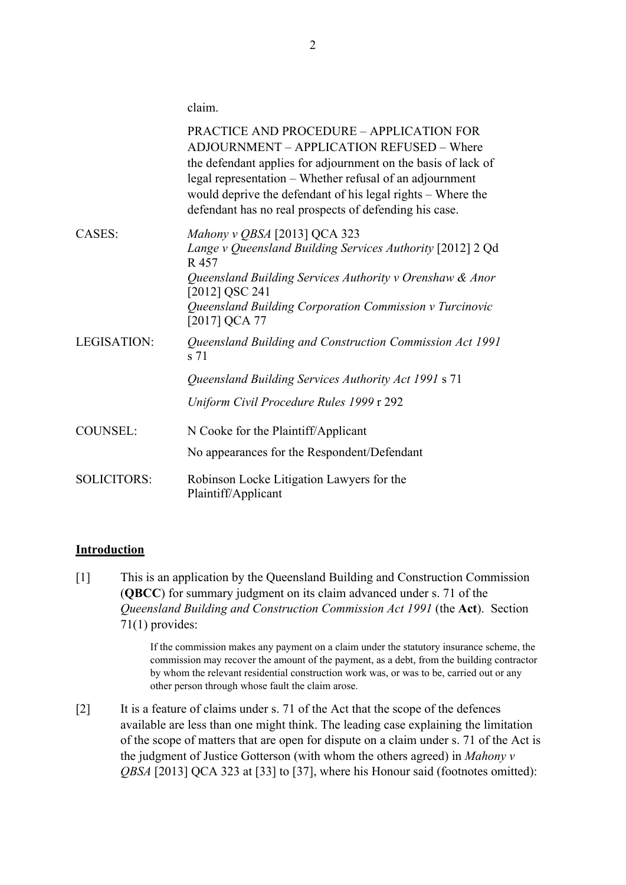claim.

|                    | <b>PRACTICE AND PROCEDURE - APPLICATION FOR</b><br>ADJOURNMENT - APPLICATION REFUSED - Where<br>the defendant applies for adjournment on the basis of lack of<br>legal representation - Whether refusal of an adjournment<br>would deprive the defendant of his legal rights – Where the<br>defendant has no real prospects of defending his case. |
|--------------------|----------------------------------------------------------------------------------------------------------------------------------------------------------------------------------------------------------------------------------------------------------------------------------------------------------------------------------------------------|
| CASES:             | Mahony v QBSA [2013] QCA 323<br>Lange v Queensland Building Services Authority [2012] 2 Qd<br>R 457<br>Queensland Building Services Authority v Orenshaw & Anor                                                                                                                                                                                    |
|                    | [2012] QSC 241<br>Queensland Building Corporation Commission v Turcinovic<br>[2017] QCA 77                                                                                                                                                                                                                                                         |
| LEGISATION:        | Queensland Building and Construction Commission Act 1991<br>s 71                                                                                                                                                                                                                                                                                   |
|                    | Queensland Building Services Authority Act 1991 s 71                                                                                                                                                                                                                                                                                               |
|                    | Uniform Civil Procedure Rules 1999 r 292                                                                                                                                                                                                                                                                                                           |
| <b>COUNSEL:</b>    | N Cooke for the Plaintiff/Applicant                                                                                                                                                                                                                                                                                                                |
|                    | No appearances for the Respondent/Defendant                                                                                                                                                                                                                                                                                                        |
| <b>SOLICITORS:</b> | Robinson Locke Litigation Lawyers for the<br>Plaintiff/Applicant                                                                                                                                                                                                                                                                                   |

### **Introduction**

[1] This is an application by the Queensland Building and Construction Commission (**QBCC**) for summary judgment on its claim advanced under s. 71 of the *Queensland Building and Construction Commission Act 1991* (the **Act**). Section 71(1) provides:

> If the commission makes any payment on a claim under the statutory insurance scheme, the commission may recover the amount of the payment, as a debt, from the building contractor by whom the relevant residential construction work was, or was to be, carried out or any other person through whose fault the claim arose.

[2] It is a feature of claims under s. 71 of the Act that the scope of the defences available are less than one might think. The leading case explaining the limitation of the scope of matters that are open for dispute on a claim under s. 71 of the Act is the judgment of Justice Gotterson (with whom the others agreed) in *Mahony v QBSA* [2013] QCA 323 at [33] to [37], where his Honour said (footnotes omitted):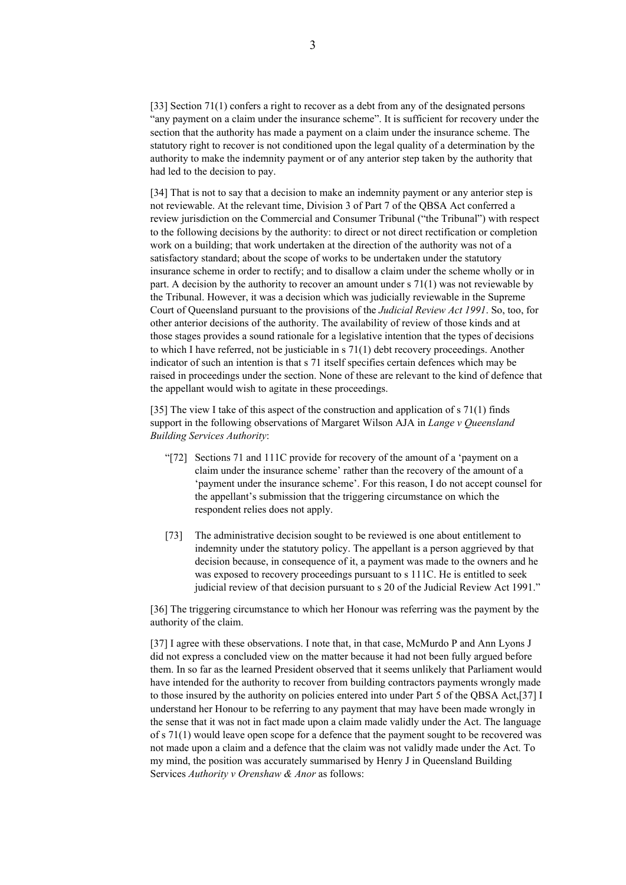[33] Section 71(1) confers a right to recover as a debt from any of the designated persons "any payment on a claim under the insurance scheme". It is sufficient for recovery under the section that the authority has made a payment on a claim under the insurance scheme. The statutory right to recover is not conditioned upon the legal quality of a determination by the authority to make the indemnity payment or of any anterior step taken by the authority that had led to the decision to pay.

[34] That is not to say that a decision to make an indemnity payment or any anterior step is not reviewable. At the relevant time, Division 3 of Part 7 of the QBSA Act conferred a review jurisdiction on the Commercial and Consumer Tribunal ("the Tribunal") with respect to the following decisions by the authority: to direct or not direct rectification or completion work on a building; that work undertaken at the direction of the authority was not of a satisfactory standard; about the scope of works to be undertaken under the statutory insurance scheme in order to rectify; and to disallow a claim under the scheme wholly or in part. A decision by the authority to recover an amount under s 71(1) was not reviewable by the Tribunal. However, it was a decision which was judicially reviewable in the Supreme Court of Queensland pursuant to the provisions of the *Judicial Review Act 1991*. So, too, for other anterior decisions of the authority. The availability of review of those kinds and at those stages provides a sound rationale for a legislative intention that the types of decisions to which I have referred, not be justiciable in s 71(1) debt recovery proceedings. Another indicator of such an intention is that s 71 itself specifies certain defences which may be raised in proceedings under the section. None of these are relevant to the kind of defence that the appellant would wish to agitate in these proceedings.

[35] The view I take of this aspect of the construction and application of s 71(1) finds support in the following observations of Margaret Wilson AJA in *Lange v Queensland Building Services Authority*:

- "[72] Sections 71 and 111C provide for recovery of the amount of a 'payment on a claim under the insurance scheme' rather than the recovery of the amount of a 'payment under the insurance scheme'. For this reason, I do not accept counsel for the appellant's submission that the triggering circumstance on which the respondent relies does not apply.
- [73] The administrative decision sought to be reviewed is one about entitlement to indemnity under the statutory policy. The appellant is a person aggrieved by that decision because, in consequence of it, a payment was made to the owners and he was exposed to recovery proceedings pursuant to s 111C. He is entitled to seek judicial review of that decision pursuant to s 20 of the Judicial Review Act 1991."

[36] The triggering circumstance to which her Honour was referring was the payment by the authority of the claim.

[37] I agree with these observations. I note that, in that case, McMurdo P and Ann Lyons J did not express a concluded view on the matter because it had not been fully argued before them. In so far as the learned President observed that it seems unlikely that Parliament would have intended for the authority to recover from building contractors payments wrongly made to those insured by the authority on policies entered into under Part 5 of the QBSA Act,[37] I understand her Honour to be referring to any payment that may have been made wrongly in the sense that it was not in fact made upon a claim made validly under the Act. The language of s 71(1) would leave open scope for a defence that the payment sought to be recovered was not made upon a claim and a defence that the claim was not validly made under the Act. To my mind, the position was accurately summarised by Henry J in Queensland Building Services *Authority v Orenshaw & Anor* as follows: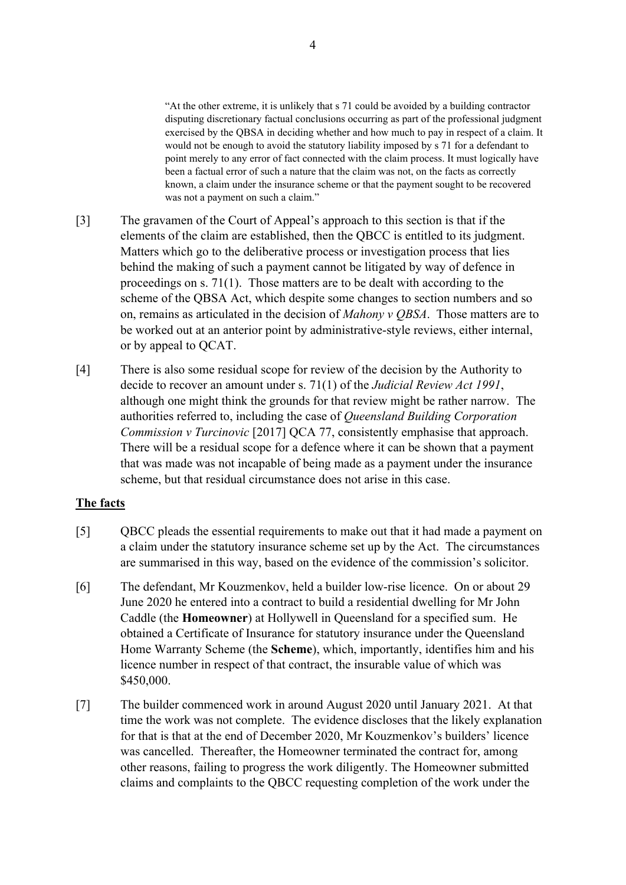"At the other extreme, it is unlikely that s 71 could be avoided by a building contractor disputing discretionary factual conclusions occurring as part of the professional judgment exercised by the QBSA in deciding whether and how much to pay in respect of a claim. It would not be enough to avoid the statutory liability imposed by s 71 for a defendant to point merely to any error of fact connected with the claim process. It must logically have been a factual error of such a nature that the claim was not, on the facts as correctly known, a claim under the insurance scheme or that the payment sought to be recovered was not a payment on such a claim."

- [3] The gravamen of the Court of Appeal's approach to this section is that if the elements of the claim are established, then the QBCC is entitled to its judgment. Matters which go to the deliberative process or investigation process that lies behind the making of such a payment cannot be litigated by way of defence in proceedings on s. 71(1). Those matters are to be dealt with according to the scheme of the QBSA Act, which despite some changes to section numbers and so on, remains as articulated in the decision of *Mahony v QBSA*. Those matters are to be worked out at an anterior point by administrative-style reviews, either internal, or by appeal to QCAT.
- [4] There is also some residual scope for review of the decision by the Authority to decide to recover an amount under s. 71(1) of the *Judicial Review Act 1991*, although one might think the grounds for that review might be rather narrow. The authorities referred to, including the case of *Queensland Building Corporation Commission v Turcinovic* [2017] QCA 77, consistently emphasise that approach. There will be a residual scope for a defence where it can be shown that a payment that was made was not incapable of being made as a payment under the insurance scheme, but that residual circumstance does not arise in this case.

### **The facts**

- [5] QBCC pleads the essential requirements to make out that it had made a payment on a claim under the statutory insurance scheme set up by the Act. The circumstances are summarised in this way, based on the evidence of the commission's solicitor.
- [6] The defendant, Mr Kouzmenkov, held a builder low-rise licence. On or about 29 June 2020 he entered into a contract to build a residential dwelling for Mr John Caddle (the **Homeowner**) at Hollywell in Queensland for a specified sum. He obtained a Certificate of Insurance for statutory insurance under the Queensland Home Warranty Scheme (the **Scheme**), which, importantly, identifies him and his licence number in respect of that contract, the insurable value of which was \$450,000.
- [7] The builder commenced work in around August 2020 until January 2021. At that time the work was not complete. The evidence discloses that the likely explanation for that is that at the end of December 2020, Mr Kouzmenkov's builders' licence was cancelled. Thereafter, the Homeowner terminated the contract for, among other reasons, failing to progress the work diligently. The Homeowner submitted claims and complaints to the QBCC requesting completion of the work under the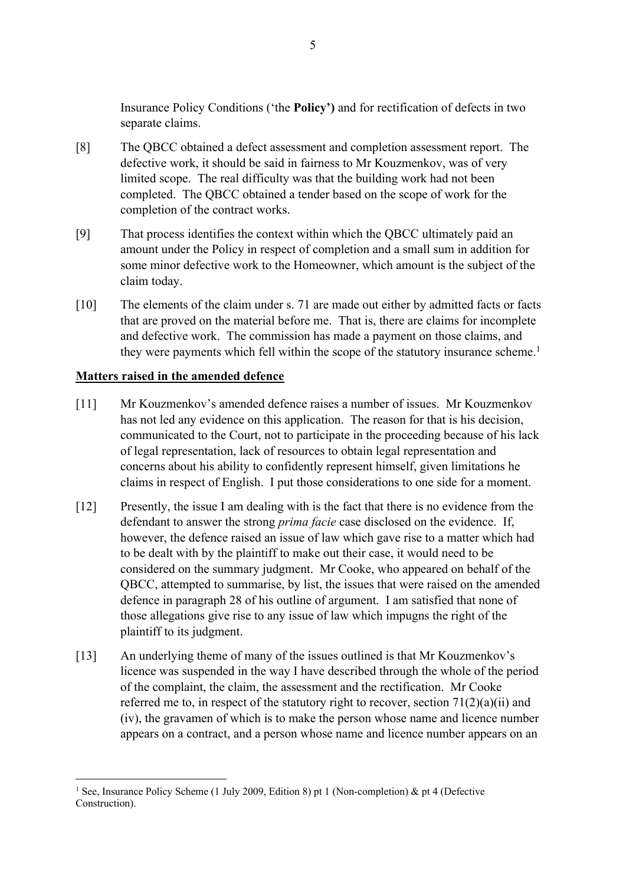Insurance Policy Conditions ('the **Policy')** and for rectification of defects in two separate claims.

- [8] The QBCC obtained a defect assessment and completion assessment report. The defective work, it should be said in fairness to Mr Kouzmenkov, was of very limited scope. The real difficulty was that the building work had not been completed. The QBCC obtained a tender based on the scope of work for the completion of the contract works.
- [9] That process identifies the context within which the QBCC ultimately paid an amount under the Policy in respect of completion and a small sum in addition for some minor defective work to the Homeowner, which amount is the subject of the claim today.
- [10] The elements of the claim under s. 71 are made out either by admitted facts or facts that are proved on the material before me. That is, there are claims for incomplete and defective work. The commission has made a payment on those claims, and they were payments which fell within the scope of the statutory insurance scheme.<sup>1</sup>

## **Matters raised in the amended defence**

- [11] Mr Kouzmenkov's amended defence raises a number of issues. Mr Kouzmenkov has not led any evidence on this application. The reason for that is his decision, communicated to the Court, not to participate in the proceeding because of his lack of legal representation, lack of resources to obtain legal representation and concerns about his ability to confidently represent himself, given limitations he claims in respect of English. I put those considerations to one side for a moment.
- [12] Presently, the issue I am dealing with is the fact that there is no evidence from the defendant to answer the strong *prima facie* case disclosed on the evidence. If, however, the defence raised an issue of law which gave rise to a matter which had to be dealt with by the plaintiff to make out their case, it would need to be considered on the summary judgment. Mr Cooke, who appeared on behalf of the QBCC, attempted to summarise, by list, the issues that were raised on the amended defence in paragraph 28 of his outline of argument. I am satisfied that none of those allegations give rise to any issue of law which impugns the right of the plaintiff to its judgment.
- [13] An underlying theme of many of the issues outlined is that Mr Kouzmenkov's licence was suspended in the way I have described through the whole of the period of the complaint, the claim, the assessment and the rectification. Mr Cooke referred me to, in respect of the statutory right to recover, section  $71(2)(a)(ii)$  and (iv), the gravamen of which is to make the person whose name and licence number appears on a contract, and a person whose name and licence number appears on an

<sup>&</sup>lt;sup>1</sup> See, Insurance Policy Scheme (1 July 2009, Edition 8) pt 1 (Non-completion) & pt 4 (Defective Construction).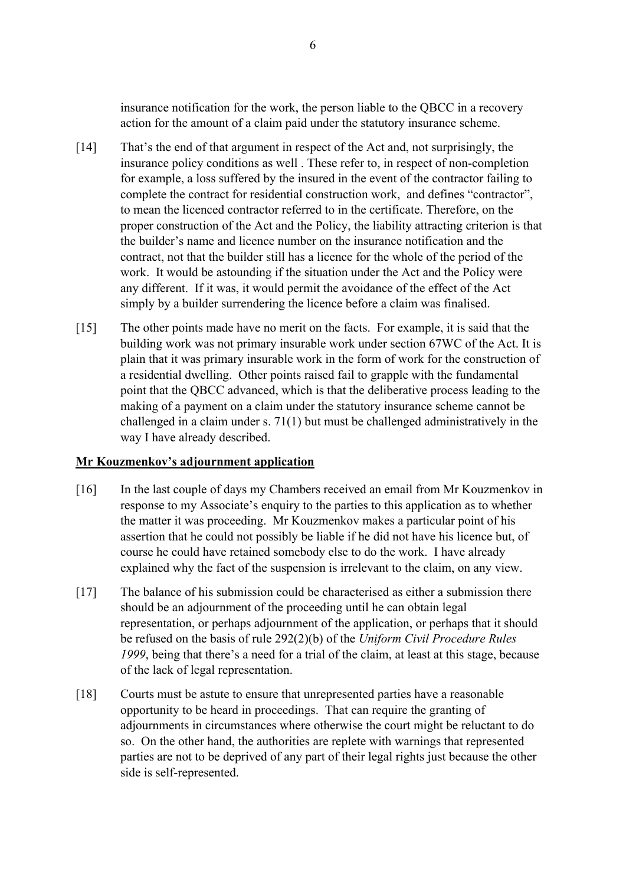insurance notification for the work, the person liable to the QBCC in a recovery action for the amount of a claim paid under the statutory insurance scheme.

- [14] That's the end of that argument in respect of the Act and, not surprisingly, the insurance policy conditions as well . These refer to, in respect of non-completion for example, a loss suffered by the insured in the event of the contractor failing to complete the contract for residential construction work, and defines "contractor", to mean the licenced contractor referred to in the certificate. Therefore, on the proper construction of the Act and the Policy, the liability attracting criterion is that the builder's name and licence number on the insurance notification and the contract, not that the builder still has a licence for the whole of the period of the work. It would be astounding if the situation under the Act and the Policy were any different. If it was, it would permit the avoidance of the effect of the Act simply by a builder surrendering the licence before a claim was finalised.
- [15] The other points made have no merit on the facts. For example, it is said that the building work was not primary insurable work under section 67WC of the Act. It is plain that it was primary insurable work in the form of work for the construction of a residential dwelling. Other points raised fail to grapple with the fundamental point that the QBCC advanced, which is that the deliberative process leading to the making of a payment on a claim under the statutory insurance scheme cannot be challenged in a claim under s. 71(1) but must be challenged administratively in the way I have already described.

### **Mr Kouzmenkov's adjournment application**

- [16] In the last couple of days my Chambers received an email from Mr Kouzmenkov in response to my Associate's enquiry to the parties to this application as to whether the matter it was proceeding. Mr Kouzmenkov makes a particular point of his assertion that he could not possibly be liable if he did not have his licence but, of course he could have retained somebody else to do the work. I have already explained why the fact of the suspension is irrelevant to the claim, on any view.
- [17] The balance of his submission could be characterised as either a submission there should be an adjournment of the proceeding until he can obtain legal representation, or perhaps adjournment of the application, or perhaps that it should be refused on the basis of rule 292(2)(b) of the *Uniform Civil Procedure Rules 1999*, being that there's a need for a trial of the claim, at least at this stage, because of the lack of legal representation.
- [18] Courts must be astute to ensure that unrepresented parties have a reasonable opportunity to be heard in proceedings. That can require the granting of adjournments in circumstances where otherwise the court might be reluctant to do so. On the other hand, the authorities are replete with warnings that represented parties are not to be deprived of any part of their legal rights just because the other side is self-represented.